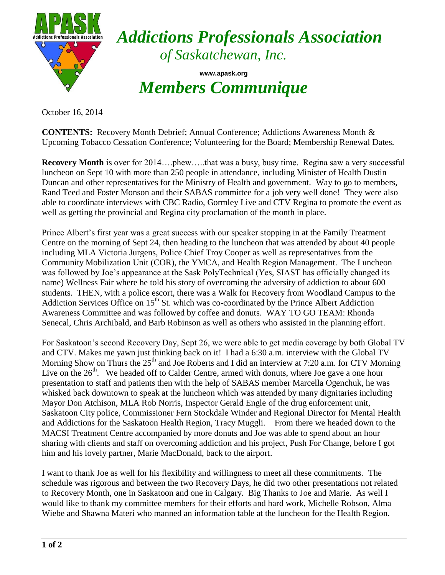

*Addictions Professionals Association of Saskatchewan, Inc.*

**www.apask.org** *Members Communique*

October 16, 2014

**CONTENTS:** Recovery Month Debrief; Annual Conference; Addictions Awareness Month & Upcoming Tobacco Cessation Conference; Volunteering for the Board; Membership Renewal Dates.

**Recovery Month** is over for 2014....phew.....that was a busy, busy time. Regina saw a very successful luncheon on Sept 10 with more than 250 people in attendance, including Minister of Health Dustin Duncan and other representatives for the Ministry of Health and government. Way to go to members, Rand Teed and Foster Monson and their SABAS committee for a job very well done! They were also able to coordinate interviews with CBC Radio, Gormley Live and CTV Regina to promote the event as well as getting the provincial and Regina city proclamation of the month in place.

Prince Albert's first year was a great success with our speaker stopping in at the Family Treatment Centre on the morning of Sept 24, then heading to the luncheon that was attended by about 40 people including MLA Victoria Jurgens, Police Chief Troy Cooper as well as representatives from the Community Mobilization Unit (COR), the YMCA, and Health Region Management. The Luncheon was followed by Joe's appearance at the Sask PolyTechnical (Yes, SIAST has officially changed its name) Wellness Fair where he told his story of overcoming the adversity of addiction to about 600 students. THEN, with a police escort, there was a Walk for Recovery from Woodland Campus to the Addiction Services Office on  $15<sup>th</sup>$  St. which was co-coordinated by the Prince Albert Addiction Awareness Committee and was followed by coffee and donuts. WAY TO GO TEAM: Rhonda Senecal, Chris Archibald, and Barb Robinson as well as others who assisted in the planning effort.

For Saskatoon's second Recovery Day, Sept 26, we were able to get media coverage by both Global TV and CTV. Makes me yawn just thinking back on it! I had a 6:30 a.m. interview with the Global TV Morning Show on Thurs the  $25<sup>th</sup>$  and Joe Roberts and I did an interview at 7:20 a.m. for CTV Morning Live on the  $26<sup>th</sup>$ . We headed off to Calder Centre, armed with donuts, where Joe gave a one hour presentation to staff and patients then with the help of SABAS member Marcella Ogenchuk, he was whisked back downtown to speak at the luncheon which was attended by many dignitaries including Mayor Don Atchison, MLA Rob Norris, Inspector Gerald Engle of the drug enforcement unit, Saskatoon City police, Commissioner Fern Stockdale Winder and Regional Director for Mental Health and Addictions for the Saskatoon Health Region, Tracy Muggli. From there we headed down to the MACSI Treatment Centre accompanied by more donuts and Joe was able to spend about an hour sharing with clients and staff on overcoming addiction and his project, Push For Change, before I got him and his lovely partner, Marie MacDonald, back to the airport.

I want to thank Joe as well for his flexibility and willingness to meet all these commitments. The schedule was rigorous and between the two Recovery Days, he did two other presentations not related to Recovery Month, one in Saskatoon and one in Calgary. Big Thanks to Joe and Marie. As well I would like to thank my committee members for their efforts and hard work, Michelle Robson, Alma Wiebe and Shawna Materi who manned an information table at the luncheon for the Health Region.